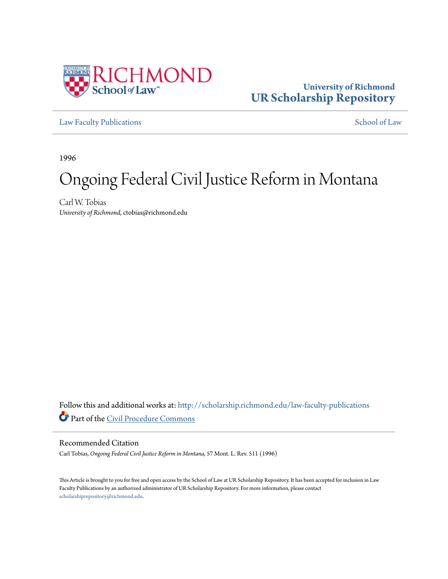

# **University of Richmond [UR Scholarship Repository](http://scholarship.richmond.edu?utm_source=scholarship.richmond.edu%2Flaw-faculty-publications%2F832&utm_medium=PDF&utm_campaign=PDFCoverPages)**

[Law Faculty Publications](http://scholarship.richmond.edu/law-faculty-publications?utm_source=scholarship.richmond.edu%2Flaw-faculty-publications%2F832&utm_medium=PDF&utm_campaign=PDFCoverPages) [School of Law](http://scholarship.richmond.edu/law?utm_source=scholarship.richmond.edu%2Flaw-faculty-publications%2F832&utm_medium=PDF&utm_campaign=PDFCoverPages)

1996

# Ongoing Federal Civil Justice Reform in Montana

Carl W. Tobias *University of Richmond*, ctobias@richmond.edu

Follow this and additional works at: [http://scholarship.richmond.edu/law-faculty-publications](http://scholarship.richmond.edu/law-faculty-publications?utm_source=scholarship.richmond.edu%2Flaw-faculty-publications%2F832&utm_medium=PDF&utm_campaign=PDFCoverPages) Part of the [Civil Procedure Commons](http://network.bepress.com/hgg/discipline/584?utm_source=scholarship.richmond.edu%2Flaw-faculty-publications%2F832&utm_medium=PDF&utm_campaign=PDFCoverPages)

#### Recommended Citation

Carl Tobias, *Ongoing Federal Civil Justice Reform in Montana,* 57 Mont. L. Rev. 511 (1996)

This Article is brought to you for free and open access by the School of Law at UR Scholarship Repository. It has been accepted for inclusion in Law Faculty Publications by an authorized administrator of UR Scholarship Repository. For more information, please contact [scholarshiprepository@richmond.edu.](mailto:scholarshiprepository@richmond.edu)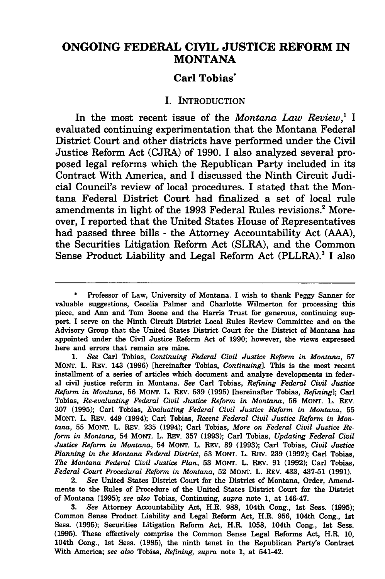## **ONGOING FEDERAL CIVIL JUSTICE REFORM IN MONTANA**

### **Carl Tobias·**

#### I. INTRODUCTION

In the most recent issue of the *Montana Law Review,1* I evaluated continuing experimentation that the Montana Federal District Court and other districts have performed under the Civil Justice Reform Act (CJRA) of 1990. I also analyzed several proposed legal reforms which the Republican Party included in its Contract With America, and I discussed the Ninth Circuit Judicial Council's review of local procedures. I stated that the Montana Federal District Court had finalized a set of local rule amendments in light of the 1993 Federal Rules revisions.<sup>2</sup> Moreover, I reported that the United States House of Representatives had passed three bills - the Attorney Accountability Act (AAA), the Securities Litigation Reform Act (SLRA), and the Common Sense Product Liability and Legal Reform Act (PLLRA).<sup>3</sup> I also

2. *See* United States District Court for the District of Montana, Order, Amendments to the Rules of Procedure of the United States District Court for the District of Montana (1995); *see also* Tobias, Continuing, *supra* note 1, at 146-47.

3. *See* Attorney Accountability Act, H.R. 988, 104th Cong., 1st Sess. (1995); Common Sense Product Liability and Legal Reform Act, H.R. 956, 104th Cong., 1st Sess. (1995); Securities Litigation Reform Act, H.R. 1058, 104th Cong., 1st Sess. (1995). These effectively comprise the Common Sense Legal Reforms Act, H.R. 10, 104th Cong., 1st Sess. (1995), the ninth tenet in the Republican Party's Contract With America; *see also* Tobias, *Refining, supra* note 1, at 541-42.

Professor of Law, University of Montana. I wish to thank Peggy Sanner for valuable suggestions, Cecelia Palmer and Charlotte Wilmerton for processing this piece, and Ann and Tom Boone and the Harris Trust for generous, continuing support. I serve on the Ninth Circuit District Local Rules Review Committee and on the Advisory Group that the United States District Court for the District of Montana has appointed under the Civil Justice Reform Act of 1990; however, the views expressed here and errors that remain are mine.

<sup>1.</sup> *See* Carl Tobias, *Continuing Federal Civil Justice Reform in Montana,* 57 MONT. L. REv. 143 (1996) [hereinafter Tobias, *Continuing].* This is the most recent installment of a series of articles which document and analyze developments in federal civil justice reform in Montana. *See* Carl Tobias, *Refining Federal Civil Justice Reform in Montana,* 56 MONT. L. REv. 539 (1995) [hereinafter Tobias, *Refining];* Carl Tobias, *Re-evaluating Federal Civil Justice Reform in Montana,* 56 MONT. L. REv. 307 (1995); Carl Tobias, *Evaluating Federal Civil Justice Reform in Montana,* 55 MONT. L. REV. 449 (1994); Carl Tobias, *Recent Federal Civil Justice Reform in Montana,* 55 MONT. L. REV. 235 (1994); Carl Tobias, *More on Federal Civil Justice Reform in Montana,* 54 MONT. L. REV. 357 (1993); Carl Tobias, *Updating Federal Civil Justice Reform in Montana,* 54 MONT. L. REV. 89 (1993); Carl Tobias, *Civil Justice Planning in the Montana Federal District,* 53 MONT. L. REV. 239 (1992); Carl Tobias, *The Montana Federal Civil Justice Plan,* 53 MONT. L. REv. 91 (1992); Carl Tobias, *Federal Court Procedural Reform in Montana,* 52 MONT. L. REV. 433, 437-51 (1991).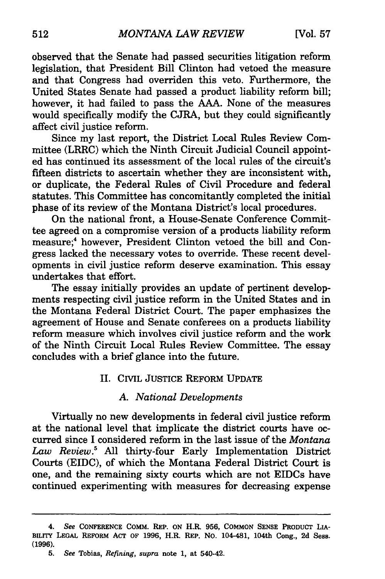observed that the Senate had passed securities litigation reform legislation, that President Bill Clinton had vetoed the measure and that Congress had overriden this veto. Furthermore, the United States Senate had passed a product liability reform bill; however, it had failed to pass the AAA. None of the measures would specifically modify the CJRA, but they could significantly affect civil justice reform.

Since my last report, the District Local Rules Review Committee (LRRC) which the Ninth Circuit Judicial Council appointed has continued its assessment of the local rules of the circuit's fifteen districts to ascertain whether they are inconsistent with, or duplicate, the Federal Rules of Civil Procedure and federal statutes. This Committee has concomitantly completed the initial phase of its review of the Montana District's local procedures.

On the national front, a House-Senate Conference Committee agreed on a compromise version of a products liability reform measure;4 however, President Clinton vetoed the bill and Congress lacked the necessary votes to override. These recent developments in civil justice reform deserve examination. This essay undertakes that effort.

The essay initially provides an update of pertinent developments respecting civil justice reform in the United States and in the Montana Federal District Court. The paper emphasizes the agreement of House and Senate conferees on a products liability reform measure which involves civil justice reform and the work of the Ninth Circuit Local Rules Review Committee. The essay concludes with a brief glance into the future.

#### II. CIVIL JUSTICE REFORM UPDATE

#### A *National Developments*

Virtually no new developments in federal civil justice reform at the national level that implicate the district courts have occurred since I considered reform in the last issue of the *Montana Law Review.5* All thirty-four Early Implementation District Courts (EIDC), of which the Montana Federal District Court is one, and the remaining sixty courts which are not EIDCs have continued experimenting with measures for decreasing expense

<sup>4.</sup> *See* CONFERENCE COMM. REP. ON H.R. 956, COMMON SENSE PRODUCT LIA-BILITY LEGAL REFORM ACT OF 1996, H.R. REP. No. 104-481, 104th Cong., 2d Sess. (1996).

<sup>5.</sup> *See* Tobias, *Refining, supra* note 1, at 540-42.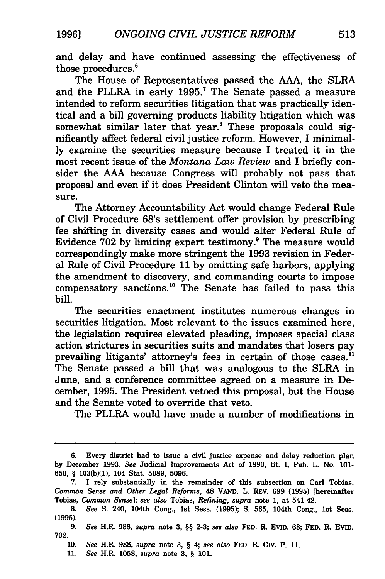and delay and have continued assessing the effectiveness of those procedures. 6

The House of Representatives passed the AAA, the SLRA and the PLLRA in early 1995.<sup>7</sup> The Senate passed a measure intended to reform securities litigation that was practically identical and a bill governing products liability litigation which was somewhat similar later that year.<sup>8</sup> These proposals could significantly affect federal civil justice reform. However, I minimally examine the securities measure because I treated it in the most recent issue of the *Montana Law Review* and I briefly consider the AAA because Congress will probably not pass that proposal and even if it does President Clinton will veto the measure.

The Attorney Accountability Act would change Federal Rule of Civil Procedure 68's settlement offer provision by prescribing fee shifting in diversity cases and would alter Federal Rule of Evidence 702 by limiting expert testimony.<sup>9</sup> The measure would correspondingly make more stringent the 1993 revision in Federal Rule of Civil Procedure 11 by omitting safe harbors, applying the amendment to discovery, and commanding courts to impose compensatory sanctions. 10 The Senate has failed to pass this bill.

The securities enactment institutes numerous changes in securities litigation. Most relevant to the issues examined here, the legislation requires elevated pleading, imposes special class action strictures in securities suits and mandates that losers pay prevailing litigants' attorney's fees in certain of those cases.<sup>11</sup> The Senate passed a bill that was analogous to the SLRA in June, and a conference committee agreed on a measure in December, 1995. The President vetoed this proposal, but the House and the Senate voted to override that veto.

The PLLRA would have made a number of modifications in

<sup>6.</sup> Every district had to issue a civil justice expense and delay reduction plan by December 1993. *See* Judicial Improvements Act of 1990, tit. I, Pub. L. No. 101- 650, § 103(b)(l), 104 Stat. 5089, 5096.

<sup>7.</sup> I rely substantially in the remainder of this subsection on Carl Tobias, *Common Sense and Other Legal Reforms,* 48 VAND. L. REV. 699 (1995) [hereinafter Tobias, *Common Sense]; see also* Tobias, *Refining, supra* note 1, at 541-42.

<sup>8.</sup> *See* S. 240, 104th Cong., 1st Sess. (1995); S. 565, 104th Cong., 1st Sess. (1995).

<sup>9.</sup> *See* H.R. 988, *supra* note 3, §§ 2-3; *see also* FED. R. Evm. 68; FED. R. Evm. 702.

<sup>10.</sup> *See* H.R. 988, *supra* note 3, § 4; *see also* FED. R. Crv. P. 11.

<sup>11.</sup> *See* H.R. 1058, *supra* note 3, § 101.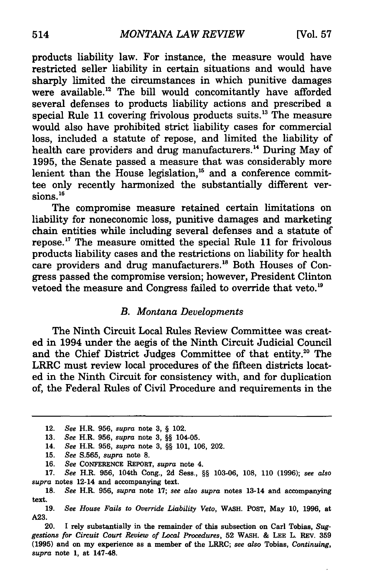products liability law. For instance, the measure would have restricted seller liability in certain situations and would have sharply limited the circumstances in which punitive damages were available.<sup>12</sup> The bill would concomitantly have afforded several defenses to products liability actions and prescribed a special Rule 11 covering frivolous products suits.<sup>13</sup> The measure would also have prohibited strict liability cases for commercial loss, included a statute of repose, and limited the liability of health care providers and drug manufacturers.<sup>14</sup> During May of 1995, the Senate passed a measure that was considerably more lenient than the House legislation,<sup>15</sup> and a conference committee only recently harmonized the substantially different versions.<sup>16</sup>

The compromise measure retained certain limitations on liability for noneconomic loss, punitive damages and marketing chain entities while including several defenses and a statute of repose. 17 The measure omitted the special Rule 11 for frivolous products liability cases and the restrictions on liability for health care providers and drug manufacturers.<sup>18</sup> Both Houses of Congress passed the compromise version; however, President Clinton vetoed the measure and Congress failed to override that veto.<sup>19</sup>

#### *B. Montana Developments*

The Ninth Circuit Local Rules Review Committee was created in 1994 under the aegis of the Ninth Circuit Judicial Council and the Chief District Judges Committee of that entity.<sup>20</sup> The LRRC must review local procedures of the fifteen districts located in the Ninth Circuit for consistency with, and for duplication of, the Federal Rules of Civil Procedure and requirements in the

<sup>12.</sup> *See* H.R. 956, *supra* note 3, § 102.

<sup>13.</sup> *See* H.R. 956, *supra* note 3, §§ 104-05.

<sup>14.</sup> *See* H.R. 956, *supra* note 3, §§ 101, 106, 202.

<sup>15.</sup> *See* S.565, *supra* note 8.

<sup>16.</sup> *See* CONFERENCE REPORT, *supra* note 4.

<sup>17.</sup> *See* H.R. 956, 104th Cong., 2d Sess., §§ 103-06, 108, 110 (1996); *see also supra* notes 12-14 and accompanying text.

<sup>18.</sup> *See* H.R. 956, *supra* note 17; *see also supra* notes 13-14 and accompanying text.

<sup>19.</sup> *See House Fails to Override Liability Veto,* WASH. POST, May 10, 1996, at A23.

<sup>20.</sup> I rely substantially in the remainder of this subsection on Carl Tobias, *Suggestions for Circuit Court Review of Local Procedures,* 52 WASH. & LEE L. REv. 359 (1995) and on my experience as a member of the LRRC; *see also* Tobias, *Continuing, supra* note 1, at 147-48.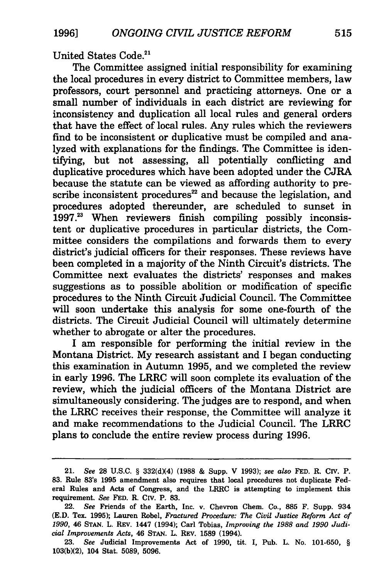United States Code.21

The Committee assigned initial responsibility for examining the local procedures in every district to Committee members, law professors, court personnel and practicing attorneys. One or a small number of individuals in each district are reviewing for inconsistency and duplication all local rules and general orders that have the effect of local rules. Any rules which the reviewers find to be inconsistent or duplicative must be compiled and analyzed with explanations for the findings. The Committee is identifying, but not assessing, all potentially conflicting and duplicative procedures which have been adopted under the CJRA because the statute can be viewed as affording authority to prescribe inconsistent procedures $^{22}$  and because the legislation, and procedures adopted thereunder, are scheduled to sunset in 1997.23 When reviewers finish compiling possibly inconsistent or duplicative procedures in particular districts, the Committee considers the compilations and forwards them to every district's judicial officers for their responses. These reviews have been completed in a majority of the Ninth Circuit's districts. The Committee next evaluates the districts' responses and makes suggestions as to possible abolition or modification of specific procedures to the Ninth Circuit Judicial Council. The Committee will soon undertake this analysis for some one-fourth of the districts. The Circuit Judicial Council will ultimately determine whether to abrogate or alter the procedures.

I am responsible for performing the initial review in the Montana District. My research assistant and I began conducting this examination in Autumn 1995, and we completed the review in early 1996. The LRRC will soon complete its evaluation of the review, which the judicial officers of the Montana District are simultaneously considering. The judges are to respond, and when the LRRC receives their response, the Committee will analyze it and make recommendations to the Judicial Council. The LRRC plans to conclude the entire review process during 1996.

<sup>21.</sup> *See* 28 U.S.C. § 332(d)(4) (1988 & Supp. V 1993); *see also* FED. R. CIV. P. 83. Rule 83's 1995 amendment also requires that local procedures not duplicate Federal Rules and Acts of Congress, and the LRRC is attempting to implement this requirement. *See* FED. R. CIV. P. 83.

<sup>22.</sup> *See* Friends of the Earth, Inc. v. Chevron Chem. Co., 885 F. Supp. 934 (E.D. Tex. 1995); Lauren Robel, *Fractured Procedure: The Civil Justice Reform Act of 1990,* 46 STAN. L. REV. 1447 (1994); Carl Tobias, *Improving the 1988 and 1990 Judicial Improvements Acts,* 46 STAN. L. REV. 1589 (1994).

<sup>23.</sup> *See* Judicial Improvements Act of 1990, tit. I, Pub. L. No. 101-650, § 103(b)(2), 104 Stat. 5089, 5096.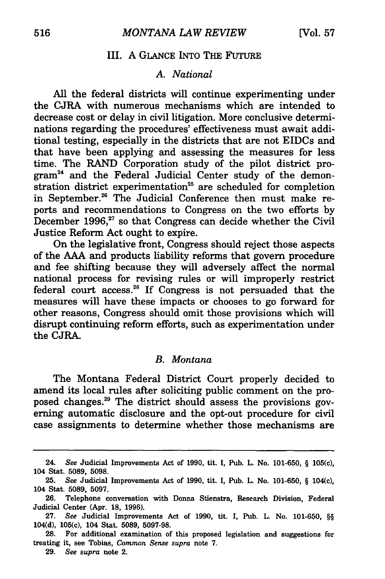#### III. A GLANCE INTO THE FUTURE

#### A. *National*

All the federal districts will continue experimenting under the CJRA with numerous mechanisms which are intended to decrease cost or delay in civil litigation. More conclusive determinations regarding the procedures' effectiveness must await additional testing, especially in the districts that are not EIDCs and that have been applying and assessing the measures for less time. The RAND Corporation study of the pilot district program24 and the Federal Judicial Center study of the demonstration district experimentation<sup>25</sup> are scheduled for completion in September.<sup>26</sup> The Judicial Conference then must make reports and recommendations to Congress on the two efforts by December 1996, $27$  so that Congress can decide whether the Civil Justice Reform Act ought to expire.

On the legislative front, Congress should reject those aspects of the AAA and products liability reforms that govern procedure and fee shifting because they will adversely affect the normal national process for revising rules or will improperly restrict federal court access. 28 If Congress is not persuaded that the measures will have these impacts or chooses to go forward for other reasons, Congress should omit those provisions which will disrupt continuing reform efforts, such as experimentation under the CJRA.

#### B. *Montana*

The Montana Federal District Court properly decided to amend its local rules after soliciting public comment on the proposed changes. 29 The district should assess the provisions governing automatic disclosure and the opt-out procedure for civil case assignments to determine whether those mechanisms are

29. *See supra* note 2.

<sup>24.</sup> *See* Judicial Improvements Act of 1990, tit. I, Pub. L. No. 101-650, § 105(c), 104 Stat. 5089, 5098.

<sup>25.</sup> *See* Judicial Improvements Act of 1990, tit. I, Pub. L. No. 101-650, § 104(c), 104 Stat. 5089, 5097.

<sup>26.</sup> Telephone conversation with Donna Stienstra, Research Division, Federal Judicial Center (Apr. 18, 1996).

<sup>27.</sup> *See* Judicial Improvements Act of 1990, tit. I, Pub. L. No. 101-650, §§ 104(d), 105(c), 104 Stat. 5089, 5097-98.

<sup>28.</sup> For additional examination of this proposed legislation and suggestions for treating it, see Tobias, *Common Sense supra* note 7.